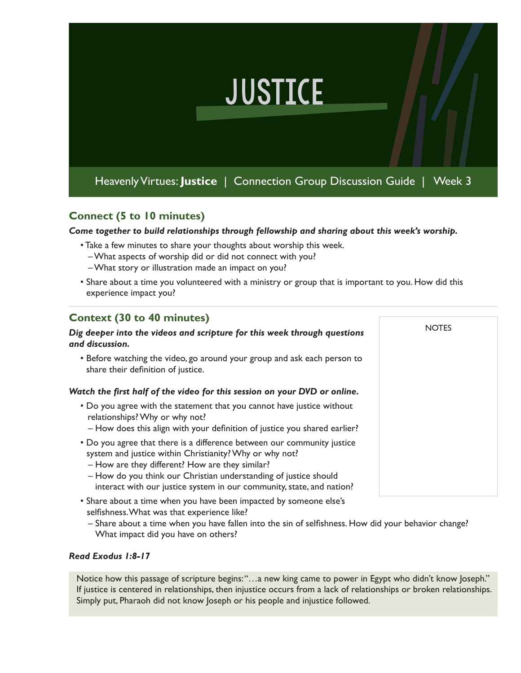# **JUSTICE**

Heavenly Virtues: **Justice** | Connection Group Discussion Guide | Week 3

## **Connect (5 to 10 minutes)**

*Come together to build relationships through fellowship and sharing about this week's worship.* 

- Take a few minutes to share your thoughts about worship this week.
	- What aspects of worship did or did not connect with you?
	- What story or illustration made an impact on you?
- Share about a time you volunteered with a ministry or group that is important to you. How did this experience impact you?

**NOTES** 

### **Context (30 to 40 minutes)**

#### *Dig deeper into the videos and scripture for this week through questions and discussion.*

• Before watching the video, go around your group and ask each person to share their definition of justice.

#### *Watch the first half of the video for this session on your DVD or online.*

- Do you agree with the statement that you cannot have justice without relationships? Why or why not?
	- How does this align with your definition of justice you shared earlier?
- Do you agree that there is a difference between our community justice
- system and justice within Christianity? Why or why not?
- How are they different? How are they similar?
- How do you think our Christian understanding of justice should interact with our justice system in our community, state, and nation?
- Share about a time when you have been impacted by someone else's selfishness. What was that experience like?
	- Share about a time when you have fallen into the sin of selfishness. How did your behavior change? What impact did you have on others?

#### *Read Exodus 1:8-17*

Notice how this passage of scripture begins: "...a new king came to power in Egypt who didn't know Joseph." If justice is centered in relationships, then injustice occurs from a lack of relationships or broken relationships. Simply put, Pharaoh did not know Joseph or his people and injustice followed.